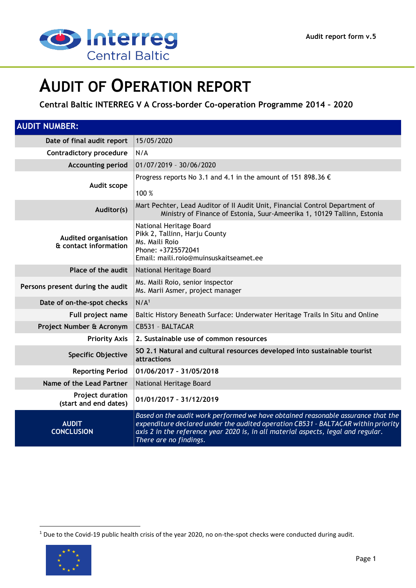

# **AUDIT OF OPERATION REPORT**

**Central Baltic INTERREG V A Cross-border Co-operation Programme 2014 – 2020**

| <b>AUDIT NUMBER:</b>                                 |                                                                                                                                                                                                                                                                                      |  |
|------------------------------------------------------|--------------------------------------------------------------------------------------------------------------------------------------------------------------------------------------------------------------------------------------------------------------------------------------|--|
| Date of final audit report                           | 15/05/2020                                                                                                                                                                                                                                                                           |  |
| <b>Contradictory procedure</b>                       | N/A                                                                                                                                                                                                                                                                                  |  |
| <b>Accounting period</b>                             | 01/07/2019 - 30/06/2020                                                                                                                                                                                                                                                              |  |
| Audit scope                                          | Progress reports No 3.1 and 4.1 in the amount of 151 898.36 $\epsilon$<br>100 %                                                                                                                                                                                                      |  |
| Auditor(s)                                           | Mart Pechter, Lead Auditor of II Audit Unit, Financial Control Department of<br>Ministry of Finance of Estonia, Suur-Ameerika 1, 10129 Tallinn, Estonia                                                                                                                              |  |
| <b>Audited organisation</b><br>& contact information | National Heritage Board<br>Pikk 2, Tallinn, Harju County<br>Ms. Maili Roio<br>Phone: +3725572041<br>Email: maili.rojo@muinsuskaitseamet.ee                                                                                                                                           |  |
| Place of the audit                                   | National Heritage Board                                                                                                                                                                                                                                                              |  |
| Persons present during the audit                     | Ms. Maili Roio, senior inspector<br>Ms. Marii Asmer, project manager                                                                                                                                                                                                                 |  |
| Date of on-the-spot checks                           | N/A <sup>1</sup>                                                                                                                                                                                                                                                                     |  |
| Full project name                                    | Baltic History Beneath Surface: Underwater Heritage Trails In Situ and Online                                                                                                                                                                                                        |  |
| Project Number & Acronym                             | CB531 - BALTACAR                                                                                                                                                                                                                                                                     |  |
| <b>Priority Axis</b>                                 | 2. Sustainable use of common resources                                                                                                                                                                                                                                               |  |
| <b>Specific Objective</b>                            | SO 2.1 Natural and cultural resources developed into sustainable tourist<br>attractions                                                                                                                                                                                              |  |
| <b>Reporting Period</b>                              | 01/06/2017 - 31/05/2018                                                                                                                                                                                                                                                              |  |
| Name of the Lead Partner                             | National Heritage Board                                                                                                                                                                                                                                                              |  |
| <b>Project duration</b><br>(start and end dates)     | 01/01/2017 - 31/12/2019                                                                                                                                                                                                                                                              |  |
| <b>AUDIT</b><br><b>CONCLUSION</b>                    | Based on the audit work performed we have obtained reasonable assurance that the<br>expenditure declared under the audited operation CB531 - BALTACAR within priority<br>axis 2 in the reference year 2020 is, in all material aspects, legal and regular.<br>There are no findings. |  |

<sup>1</sup> Due to the Covid-19 public health crisis of the year 2020, no on-the-spot checks were conducted during audit.



1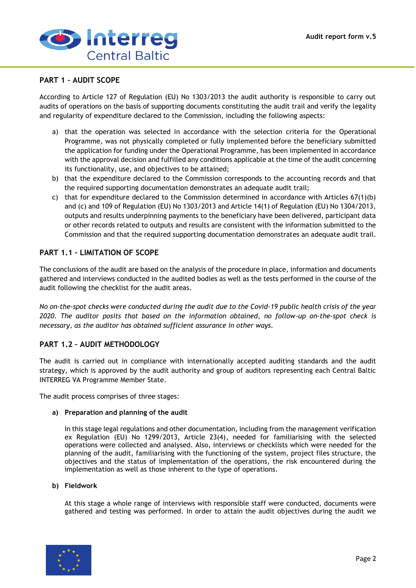

## **PART 1 – AUDIT SCOPE**

According to Article 127 of Regulation (EU) No 1303/2013 the audit authority is responsible to carry out audits of operations on the basis of supporting documents constituting the audit trail and verify the legality and regularity of expenditure declared to the Commission, including the following aspects:

- a) that the operation was selected in accordance with the selection criteria for the Operational Programme, was not physically completed or fully implemented before the beneficiary submitted the application for funding under the Operational Programme, has been implemented in accordance with the approval decision and fulfilled any conditions applicable at the time of the audit concerning its functionality, use, and objectives to be attained;
- b) that the expenditure declared to the Commission corresponds to the accounting records and that the required supporting documentation demonstrates an adequate audit trail;
- c) that for expenditure declared to the Commission determined in accordance with Articles 67(1)(b) and (c) and 109 of Regulation (EU) No 1303/2013 and Article 14(1) of Regulation (EU) No 1304/2013, outputs and results underpinning payments to the beneficiary have been delivered, participant data or other records related to outputs and results are consistent with the information submitted to the Commission and that the required supporting documentation demonstrates an adequate audit trail.

## **PART 1.1 – LIMITATION OF SCOPE**

The conclusions of the audit are based on the analysis of the procedure in place, information and documents gathered and interviews conducted in the audited bodies as well as the tests performed in the course of the audit following the checklist for the audit areas.

*No on-the-spot checks were conducted during the audit due to the Covid-19 public health crisis of the year 2020. The auditor posits that based on the information obtained, no follow-up on-the-spot check is necessary, as the auditor has obtained sufficient assurance in other ways.*

# **PART 1.2 – AUDIT METHODOLOGY**

The audit is carried out in compliance with internationally accepted auditing standards and the audit strategy, which is approved by the audit authority and group of auditors representing each Central Baltic INTERREG VA Programme Member State.

The audit process comprises of three stages:

#### **a) Preparation and planning of the audit**

In this stage legal regulations and other documentation, including from the management verification ex Regulation (EU) No 1299/2013, Article 23(4), needed for familiarising with the selected operations were collected and analysed. Also, interviews or checklists which were needed for the planning of the audit, familiarising with the functioning of the system, project files structure, the objectives and the status of implementation of the operations, the risk encountered during the implementation as well as those inherent to the type of operations.

#### **b) Fieldwork**

At this stage a whole range of interviews with responsible staff were conducted, documents were gathered and testing was performed. In order to attain the audit objectives during the audit we

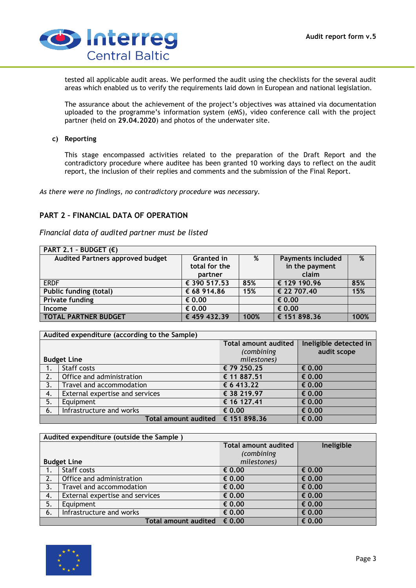

tested all applicable audit areas. We performed the audit using the checklists for the several audit areas which enabled us to verify the requirements laid down in European and national legislation.

The assurance about the achievement of the project's objectives was attained via documentation uploaded to the programme's information system (eMS), video conference call with the project partner (held on **29.04.2020**) and photos of the underwater site.

#### **c) Reporting**

This stage encompassed activities related to the preparation of the Draft Report and the contradictory procedure where auditee has been granted 10 working days to reflect on the audit report, the inclusion of their replies and comments and the submission of the Final Report.

*As there were no findings, no contradictory procedure was necessary.*

## **PART 2 – FINANCIAL DATA OF OPERATION**

*Financial data of audited partner must be listed*

| PART 2.1 - BUDGET $(E)$          |                   |      |                          |      |
|----------------------------------|-------------------|------|--------------------------|------|
| Audited Partners approved budget | <b>Granted in</b> | %    | <b>Payments included</b> | %    |
|                                  | total for the     |      | in the payment           |      |
|                                  | partner           |      | claim                    |      |
| <b>ERDF</b>                      | € 390 517.53      | 85%  | € 129 190.96             | 85%  |
| <b>Public funding (total)</b>    | € 68 914.86       | 15%  | € 22 707.40              | 15%  |
| <b>Private funding</b>           | € 0.00            |      | $\epsilon$ 0.00          |      |
| Income                           | € 0.00            |      | € 0.00                   |      |
| <b>TOTAL PARTNER BUDGET</b>      | € 459 432.39      | 100% | € 151 898.36             | 100% |

| Audited expenditure (according to the Sample) |                                   |                             |                        |
|-----------------------------------------------|-----------------------------------|-----------------------------|------------------------|
|                                               |                                   | <b>Total amount audited</b> | Ineligible detected in |
|                                               |                                   | (combining                  | audit scope            |
|                                               | <b>Budget Line</b>                | milestones)                 |                        |
| 1.                                            | Staff costs                       | € 79 250.25                 | $\epsilon$ 0.00        |
| 2.                                            | Office and administration         | € 11 887.51                 | € 0.00                 |
| 3.                                            | Travel and accommodation          | € 6 413.22                  | $\epsilon$ 0.00        |
| 4.                                            | External expertise and services   | € 38 219.97                 | € 0.00                 |
| 5.                                            | Equipment                         | € 16 127.41                 | € 0.00                 |
| 6.                                            | Infrastructure and works          | $\epsilon$ 0.00             | € 0.00                 |
|                                               | Total amount audited € 151 898.36 |                             | € 0.00                 |

| Audited expenditure (outside the Sample) |                                      |                             |                 |
|------------------------------------------|--------------------------------------|-----------------------------|-----------------|
|                                          |                                      | <b>Total amount audited</b> | Ineligible      |
|                                          |                                      | (combining                  |                 |
|                                          | <b>Budget Line</b>                   | milestones)                 |                 |
| 1.                                       | Staff costs                          | € 0.00                      | € 0.00          |
| 2.                                       | Office and administration            | $\epsilon$ 0.00             | € 0.00          |
| 3.                                       | Travel and accommodation             | $\epsilon$ 0.00             | € 0.00          |
| 4.                                       | External expertise and services      | $\epsilon$ 0.00             | € 0.00          |
| 5.                                       | Equipment                            | $\epsilon$ 0.00             | € 0.00          |
| 6.                                       | Infrastructure and works             | $\epsilon$ 0.00             | $\epsilon$ 0.00 |
|                                          | Total amount audited $\epsilon$ 0.00 |                             | € 0.00          |